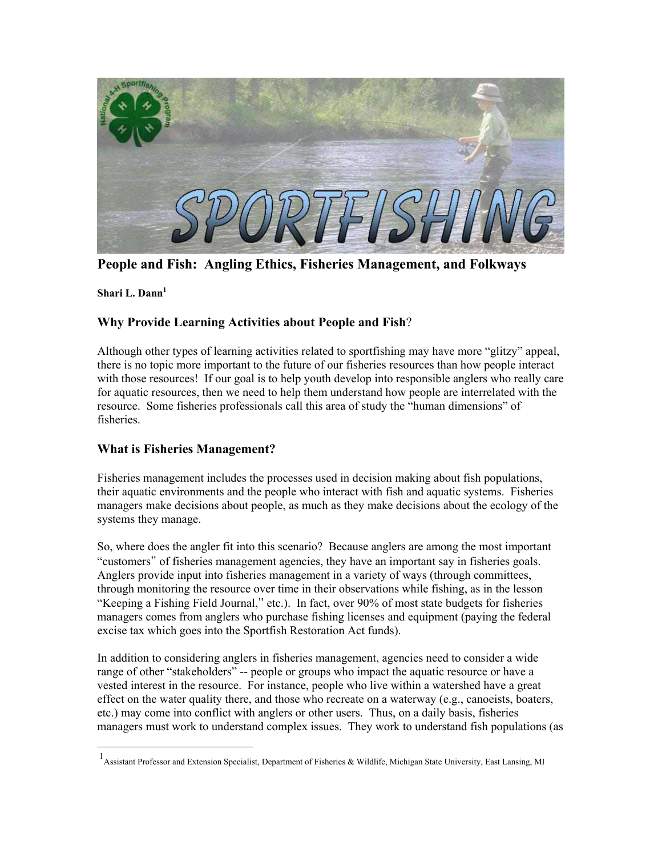

**People and Fish: Angling Ethics, Fisheries Management, and Folkways**

**Shari L. Dann[1](#page-0-0)**

 $\overline{a}$ 

# **Why Provide Learning Activities about People and Fish**?

Although other types of learning activities related to sportfishing may have more "glitzy" appeal, there is no topic more important to the future of our fisheries resources than how people interact with those resources! If our goal is to help youth develop into responsible anglers who really care for aquatic resources, then we need to help them understand how people are interrelated with the resource. Some fisheries professionals call this area of study the "human dimensions" of fisheries.

## **What is Fisheries Management?**

Fisheries management includes the processes used in decision making about fish populations, their aquatic environments and the people who interact with fish and aquatic systems. Fisheries managers make decisions about people, as much as they make decisions about the ecology of the systems they manage.

So, where does the angler fit into this scenario? Because anglers are among the most important "customers" of fisheries management agencies, they have an important say in fisheries goals. Anglers provide input into fisheries management in a variety of ways (through committees, through monitoring the resource over time in their observations while fishing, as in the lesson "Keeping a Fishing Field Journal," etc.). In fact, over 90% of most state budgets for fisheries managers comes from anglers who purchase fishing licenses and equipment (paying the federal excise tax which goes into the Sportfish Restoration Act funds).

In addition to considering anglers in fisheries management, agencies need to consider a wide range of other "stakeholders" -- people or groups who impact the aquatic resource or have a vested interest in the resource. For instance, people who live within a watershed have a great effect on the water quality there, and those who recreate on a waterway (e.g., canoeists, boaters, etc.) may come into conflict with anglers or other users. Thus, on a daily basis, fisheries managers must work to understand complex issues. They work to understand fish populations (as

<span id="page-0-0"></span> <sup>1</sup>Assistant Professor and Extension Specialist, Department of Fisheries & Wildlife, Michigan State University, East Lansing, MI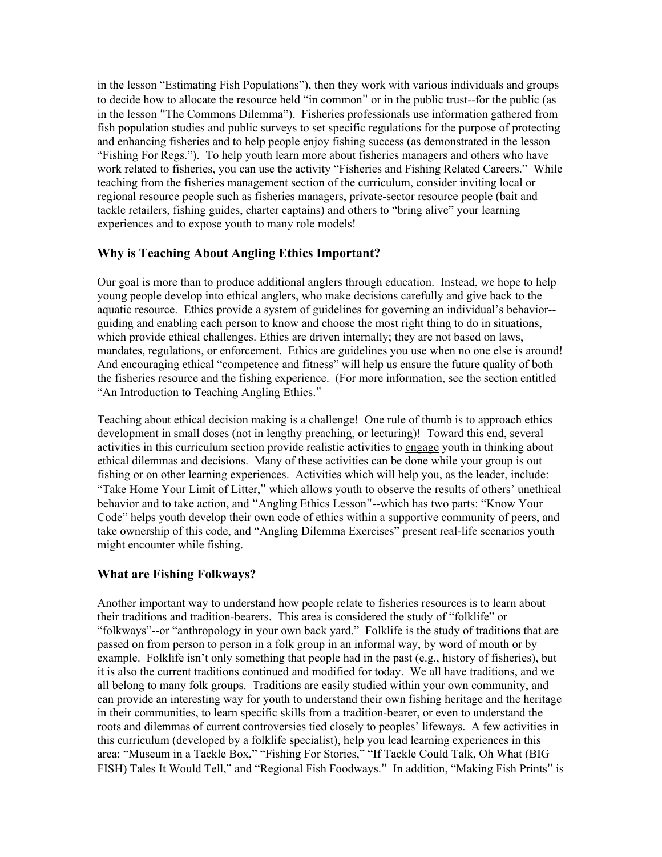in the lesson "Estimating Fish Populations"), then they work with various individuals and groups to decide how to allocate the resource held "in common" or in the public trust--for the public (as in the lesson "The Commons Dilemma"). Fisheries professionals use information gathered from fish population studies and public surveys to set specific regulations for the purpose of protecting and enhancing fisheries and to help people enjoy fishing success (as demonstrated in the lesson "Fishing For Regs."). To help youth learn more about fisheries managers and others who have work related to fisheries, you can use the activity "Fisheries and Fishing Related Careers." While teaching from the fisheries management section of the curriculum, consider inviting local or regional resource people such as fisheries managers, private-sector resource people (bait and tackle retailers, fishing guides, charter captains) and others to "bring alive" your learning experiences and to expose youth to many role models!

### **Why is Teaching About Angling Ethics Important?**

Our goal is more than to produce additional anglers through education. Instead, we hope to help young people develop into ethical anglers, who make decisions carefully and give back to the aquatic resource. Ethics provide a system of guidelines for governing an individual's behavior- guiding and enabling each person to know and choose the most right thing to do in situations, which provide ethical challenges. Ethics are driven internally; they are not based on laws, mandates, regulations, or enforcement. Ethics are guidelines you use when no one else is around! And encouraging ethical "competence and fitness" will help us ensure the future quality of both the fisheries resource and the fishing experience. (For more information, see the section entitled "An Introduction to Teaching Angling Ethics."

Teaching about ethical decision making is a challenge! One rule of thumb is to approach ethics development in small doses (not in lengthy preaching, or lecturing)! Toward this end, several activities in this curriculum section provide realistic activities to engage youth in thinking about ethical dilemmas and decisions. Many of these activities can be done while your group is out fishing or on other learning experiences. Activities which will help you, as the leader, include: "Take Home Your Limit of Litter," which allows youth to observe the results of others' unethical behavior and to take action, and "Angling Ethics Lesson"--which has two parts: "Know Your Code" helps youth develop their own code of ethics within a supportive community of peers, and take ownership of this code, and "Angling Dilemma Exercises" present real-life scenarios youth might encounter while fishing.

### **What are Fishing Folkways?**

Another important way to understand how people relate to fisheries resources is to learn about their traditions and tradition-bearers. This area is considered the study of "folklife" or "folkways"--or "anthropology in your own back yard." Folklife is the study of traditions that are passed on from person to person in a folk group in an informal way, by word of mouth or by example. Folklife isn't only something that people had in the past (e.g., history of fisheries), but it is also the current traditions continued and modified for today. We all have traditions, and we all belong to many folk groups. Traditions are easily studied within your own community, and can provide an interesting way for youth to understand their own fishing heritage and the heritage in their communities, to learn specific skills from a tradition-bearer, or even to understand the roots and dilemmas of current controversies tied closely to peoples' lifeways. A few activities in this curriculum (developed by a folklife specialist), help you lead learning experiences in this area: "Museum in a Tackle Box," "Fishing For Stories," "If Tackle Could Talk, Oh What (BIG FISH) Tales It Would Tell," and "Regional Fish Foodways." In addition, "Making Fish Prints" is